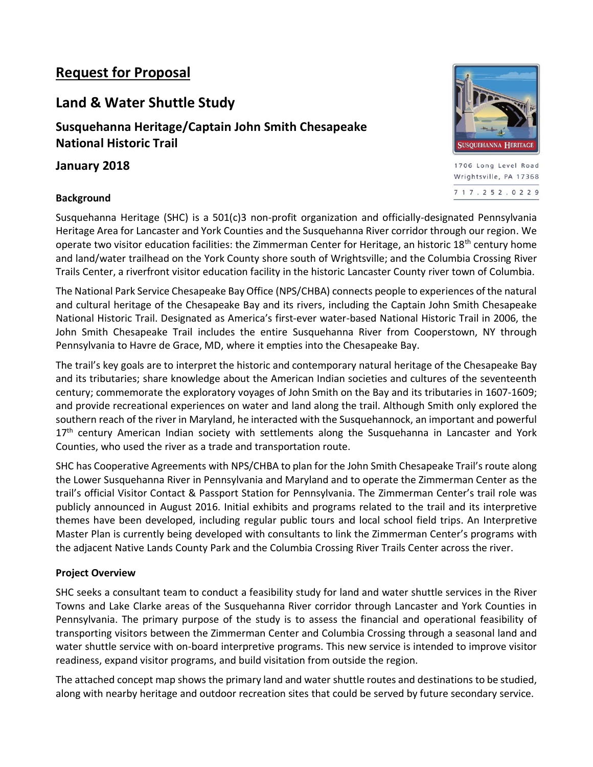# **Request for Proposal**

# **Land & Water Shuttle Study**

**Susquehanna Heritage/Captain John Smith Chesapeake National Historic Trail**

# **January 2018**

## **Background**



1706 Long Level Road Wrightsville, PA 17368 717.252.0229

Susquehanna Heritage (SHC) is a 501(c)3 non-profit organization and officially-designated Pennsylvania Heritage Area for Lancaster and York Counties and the Susquehanna River corridor through our region. We operate two visitor education facilities: the Zimmerman Center for Heritage, an historic 18<sup>th</sup> century home and land/water trailhead on the York County shore south of Wrightsville; and the Columbia Crossing River Trails Center, a riverfront visitor education facility in the historic Lancaster County river town of Columbia.

The National Park Service Chesapeake Bay Office (NPS/CHBA) connects people to experiences of the natural and cultural heritage of the Chesapeake Bay and its rivers, including the Captain John Smith Chesapeake National Historic Trail. Designated as America's first-ever water-based National Historic Trail in 2006, the John Smith Chesapeake Trail includes the entire Susquehanna River from Cooperstown, NY through Pennsylvania to Havre de Grace, MD, where it empties into the Chesapeake Bay.

The trail's key goals are to interpret the historic and contemporary natural heritage of the Chesapeake Bay and its tributaries; share knowledge about the American Indian societies and cultures of the seventeenth century; commemorate the exploratory voyages of John Smith on the Bay and its tributaries in 1607-1609; and provide recreational experiences on water and land along the trail. Although Smith only explored the southern reach of the river in Maryland, he interacted with the Susquehannock, an important and powerful 17<sup>th</sup> century American Indian society with settlements along the Susquehanna in Lancaster and York Counties, who used the river as a trade and transportation route.

SHC has Cooperative Agreements with NPS/CHBA to plan for the John Smith Chesapeake Trail's route along the Lower Susquehanna River in Pennsylvania and Maryland and to operate the Zimmerman Center as the trail's official Visitor Contact & Passport Station for Pennsylvania. The Zimmerman Center's trail role was publicly announced in August 2016. Initial exhibits and programs related to the trail and its interpretive themes have been developed, including regular public tours and local school field trips. An Interpretive Master Plan is currently being developed with consultants to link the Zimmerman Center's programs with the adjacent Native Lands County Park and the Columbia Crossing River Trails Center across the river.

## **Project Overview**

SHC seeks a consultant team to conduct a feasibility study for land and water shuttle services in the River Towns and Lake Clarke areas of the Susquehanna River corridor through Lancaster and York Counties in Pennsylvania. The primary purpose of the study is to assess the financial and operational feasibility of transporting visitors between the Zimmerman Center and Columbia Crossing through a seasonal land and water shuttle service with on-board interpretive programs. This new service is intended to improve visitor readiness, expand visitor programs, and build visitation from outside the region.

The attached concept map shows the primary land and water shuttle routes and destinations to be studied, along with nearby heritage and outdoor recreation sites that could be served by future secondary service.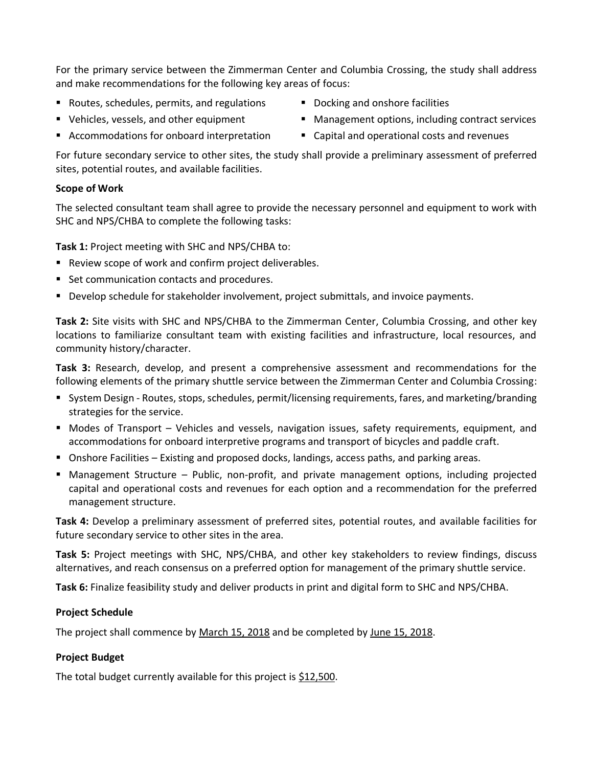For the primary service between the Zimmerman Center and Columbia Crossing, the study shall address and make recommendations for the following key areas of focus:

■ Routes, schedules, permits, and regulations

■ Vehicles, vessels, and other equipment

- Docking and onshore facilities
- Management options, including contract services
- Accommodations for onboard interpretation
- Capital and operational costs and revenues

For future secondary service to other sites, the study shall provide a preliminary assessment of preferred sites, potential routes, and available facilities.

# **Scope of Work**

The selected consultant team shall agree to provide the necessary personnel and equipment to work with SHC and NPS/CHBA to complete the following tasks:

**Task 1:** Project meeting with SHC and NPS/CHBA to:

- Review scope of work and confirm project deliverables.
- Set communication contacts and procedures.
- Develop schedule for stakeholder involvement, project submittals, and invoice payments.

**Task 2:** Site visits with SHC and NPS/CHBA to the Zimmerman Center, Columbia Crossing, and other key locations to familiarize consultant team with existing facilities and infrastructure, local resources, and community history/character.

**Task 3:** Research, develop, and present a comprehensive assessment and recommendations for the following elements of the primary shuttle service between the Zimmerman Center and Columbia Crossing:

- System Design Routes, stops, schedules, permit/licensing requirements, fares, and marketing/branding strategies for the service.
- Modes of Transport Vehicles and vessels, navigation issues, safety requirements, equipment, and accommodations for onboard interpretive programs and transport of bicycles and paddle craft.
- Onshore Facilities Existing and proposed docks, landings, access paths, and parking areas.
- Management Structure Public, non-profit, and private management options, including projected capital and operational costs and revenues for each option and a recommendation for the preferred management structure.

**Task 4:** Develop a preliminary assessment of preferred sites, potential routes, and available facilities for future secondary service to other sites in the area.

**Task 5:** Project meetings with SHC, NPS/CHBA, and other key stakeholders to review findings, discuss alternatives, and reach consensus on a preferred option for management of the primary shuttle service.

**Task 6:** Finalize feasibility study and deliver products in print and digital form to SHC and NPS/CHBA.

# **Project Schedule**

The project shall commence by March 15, 2018 and be completed by June 15, 2018.

## **Project Budget**

The total budget currently available for this project is \$12,500.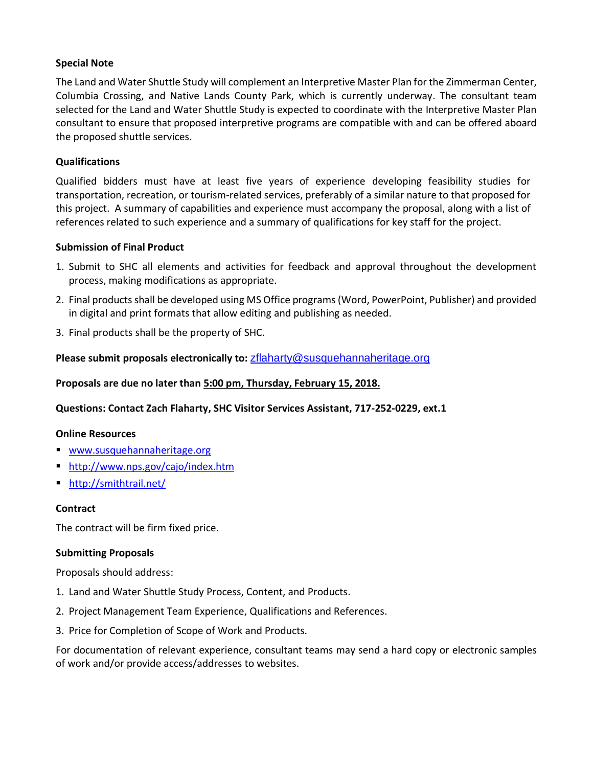### **Special Note**

The Land and Water Shuttle Study will complement an Interpretive Master Plan for the Zimmerman Center, Columbia Crossing, and Native Lands County Park, which is currently underway. The consultant team selected for the Land and Water Shuttle Study is expected to coordinate with the Interpretive Master Plan consultant to ensure that proposed interpretive programs are compatible with and can be offered aboard the proposed shuttle services.

### **Qualifications**

Qualified bidders must have at least five years of experience developing feasibility studies for transportation, recreation, or tourism-related services, preferably of a similar nature to that proposed for this project. A summary of capabilities and experience must accompany the proposal, along with a list of references related to such experience and a summary of qualifications for key staff for the project.

#### **Submission of Final Product**

- 1. Submit to SHC all elements and activities for feedback and approval throughout the development process, making modifications as appropriate.
- 2. Final products shall be developed using MS Office programs (Word, PowerPoint, Publisher) and provided in digital and print formats that allow editing and publishing as needed.
- 3. Final products shall be the property of SHC.

**Please submit proposals electronically to:** [zflaharty@susquehannaheritage.org](mailto:zflaharty@susquehannaheritage.org)

#### **Proposals are due no later than 5:00 pm, Thursday, February 15, 2018.**

#### **Questions: Contact Zach Flaharty, SHC Visitor Services Assistant, 717-252-0229, ext.1**

#### **Online Resources**

- [www.susquehannaheritage.org](http://www.susquehannaheritage.org/)
- <http://www.nps.gov/cajo/index.htm>
- <http://smithtrail.net/>

#### **Contract**

The contract will be firm fixed price.

#### **Submitting Proposals**

Proposals should address:

- 1. Land and Water Shuttle Study Process, Content, and Products.
- 2. Project Management Team Experience, Qualifications and References.
- 3. Price for Completion of Scope of Work and Products.

For documentation of relevant experience, consultant teams may send a hard copy or electronic samples of work and/or provide access/addresses to websites.